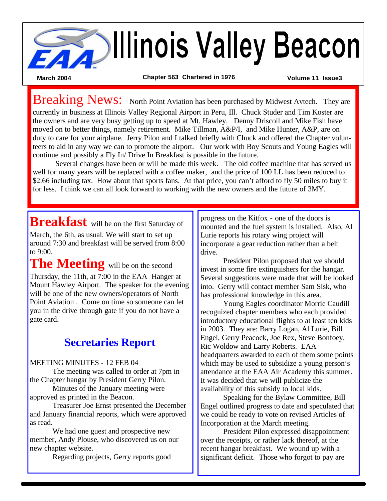

Breaking News: North Point Aviation has been purchased by Midwest Avtech. They are

currently in business at Illinois Valley Regional Airport in Peru, Ill. Chuck Studer and Tim Koster are the owners and are very busy getting up to speed at Mt. Hawley. Denny Driscoll and Mike Fish have moved on to better things, namely retirement. Mike Tillman, A&P/I, and Mike Hunter, A&P, are on duty to care for your airplane. Jerry Pilon and I talked briefly with Chuck and offered the Chapter volunteers to aid in any way we can to promote the airport. Our work with Boy Scouts and Young Eagles will continue and possibly a Fly In/ Drive In Breakfast is possible in the future.

Several changes have been or will be made this week. The old coffee machine that has served us well for many years will be replaced with a coffee maker, and the price of 100 LL has been reduced to \$2.66 including tax. How about that sports fans. At that price, you can't afford to fly 50 miles to buy it for less. I think we can all look forward to working with the new owners and the future of 3MY.

**Breakfast** will be on the first Saturday of

March, the 6th, as usual. We will start to set up around 7:30 and breakfast will be served from 8:00 to 9:00.

The Meeting will be on the second Thursday, the 11th, at 7:00 in the EAA Hanger at Mount Hawley Airport. The speaker for the evening will be one of the new owners/operators of North Point Aviation . Come on time so someone can let you in the drive through gate if you do not have a gate card.

### **Secretaries Report**

#### MEETING MINUTES - 12 FEB 04

The meeting was called to order at 7pm in the Chapter hangar by President Gerry Pilon.

Minutes of the January meeting were approved as printed in the Beacon.

Treasurer Joe Ernst presented the December and January financial reports, which were approved as read.

We had one guest and prospective new member, Andy Plouse, who discovered us on our new chapter website.

Regarding projects, Gerry reports good

progress on the Kitfox - one of the doors is mounted and the fuel system is installed. Also, Al Lurie reports his rotary wing project will incorporate a gear reduction rather than a belt drive.

President Pilon proposed that we should invest in some fire extinguishers for the hangar. Several suggestions were made that will be looked into. Gerry will contact member Sam Sisk, who has professional knowledge in this area.

Young Eagles coordinator Morrie Caudill recognized chapter members who each provided introductory educational flights to at least ten kids in 2003. They are: Barry Logan, Al Lurie, Bill Engel, Gerry Peacock, Joe Rex, Steve Bonfoey, Ric Woldow and Larry Roberts. EAA headquarters awarded to each of them some points which may be used to subsidize a young person's attendance at the EAA Air Academy this summer. It was decided that we will publicize the availability of this subsidy to local kids.

Speaking for the Bylaw Committee, Bill Engel outlined progress to date and speculated that we could be ready to vote on revised Articles of Incorporation at the March meeting.

President Pilon expressed disappointment over the receipts, or rather lack thereof, at the recent hangar breakfast. We wound up with a significant deficit. Those who forgot to pay are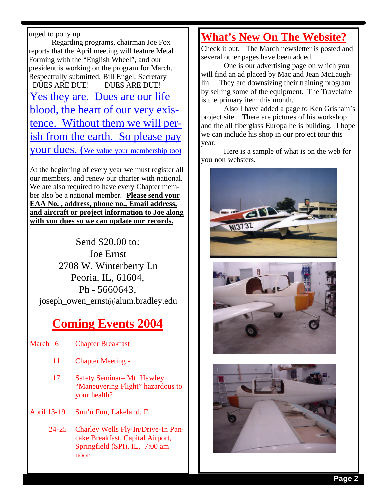urged to pony up.

Regarding programs, chairman Joe Fox reports that the April meeting will feature Metal Forming with the "English Wheel", and our president is working on the program for March. Respectfully submitted, Bill Engel, Secretary DUES ARE DUE! DUES ARE DUE! Yes they are. Dues are our life blood, the heart of our very existence. Without them we will perish from the earth. So please pay your dues. (We value your membership too)

At the beginning of every year we must register all our members, and renew our charter with national. We are also required to have every Chapter member also be a national member. **Please send your EAA No. , address, phone no., Email address, and aircraft or project information to Joe along with you dues so we can update our records.**

Send \$20.00 to: Joe Ernst 2708 W. Winterberry Ln Peoria, IL, 61604, Ph - 5660643, joseph\_owen\_ernst@alum.bradley.edu

## **Coming Events 2004**

- March 6 Chapter Breakfast
	- 11 Chapter Meeting -
	- 17 Safety Seminar– Mt. Hawley "Maneuvering Flight" hazardous to your health?
- April 13-19 Sun'n Fun, Lakeland, Fl
	- 24-25 Charley Wells Fly-In/Drive-In Pancake Breakfast, Capital Airport, Springfield (SPI), IL, 7:00 am noon

#### **What's New On The Website?**

Check it out. The March newsletter is posted and several other pages have been added.

One is our advertising page on which you will find an ad placed by Mac and Jean McLaughlin. They are downsizing their training program by selling some of the equipment. The Travelaire is the primary item this month.

Also I have added a page to Ken Grisham's project site. There are pictures of his workshop and the all fiberglass Europa he is building. I hope we can include his shop in our project tour this year.

Here is a sample of what is on the web for you non websters.